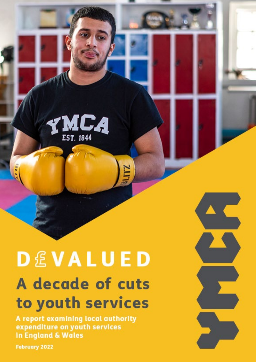

# **DEVALUED** A decade of cuts to youth services

A report examining local authority expenditure on youth services **In England & Wales** 

**February 2022** 

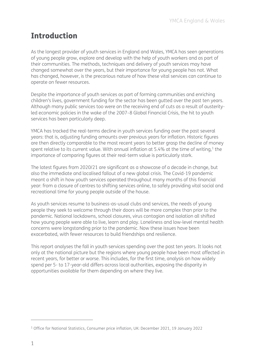## Introduction

As the longest provider of youth services in England and Wales, YMCA has seen generations of young people grow, explore and develop with the help of youth workers and as part of their communities. The methods, techniques and delivery of youth services may have changed somewhat over the years, but their importance for young people has not. What has changed, however, is the precarious nature of how these vital services can continue to operate on fewer resources.

Despite the importance of youth services as part of forming communities and enriching children's lives, government funding for the sector has been gutted over the past ten years. Although many public services too were on the receiving end of cuts as a result of austerityled economic policies in the wake of the 2007–8 Global Financial Crisis, the hit to youth services has been particularly deep.

YMCA has tracked the real-terms decline in youth services funding over the past several years: that is, adjusting funding amounts over previous years for inflation. Historic figures are then directly comparable to the most recent years to better grasp the decline of money spent relative to its current value. With annual inflation at 5.4% at the time of writing,<sup>[1](#page-1-0)</sup> the importance of comparing figures at their real-term value is particularly stark.

The latest figures from 2020/21 are significant as a showcase of a decade in change, but also the immediate and localised fallout of a new global crisis. The Covid-19 pandemic meant a shift in how youth services operated throughout many months of this financial year: from a closure of centres to shifting services online, to safely providing vital social and recreational time for young people outside of the house.

As youth services resume to business-as-usual clubs and services, the needs of young people they seek to welcome through their doors will be more complex than prior to the pandemic. National lockdowns, school closures, virus contagion and isolation all shifted how young people were able to live, learn and play. Loneliness and low-level mental health concerns were longstanding prior to the pandemic. Now these issues have been exacerbated, with fewer resources to build friendships and resilience.

This report analyses the fall in youth services spending over the past ten years. It looks not only at the national picture but the regions where young people have been most affected in recent years, for better or worse. This includes, for the first time, analysis on how widely spend per 5- to 17-year-old differs across local authorities, exposing the disparity in opportunities available for them depending on where they live.

 $\overline{a}$ 

<span id="page-1-0"></span><sup>1</sup> Office for National Statistics, [Consumer price inflation, UK: December 2021,](https://www.ons.gov.uk/economy/inflationandpriceindices/bulletins/consumerpriceinflation/december2021) 19 January 2022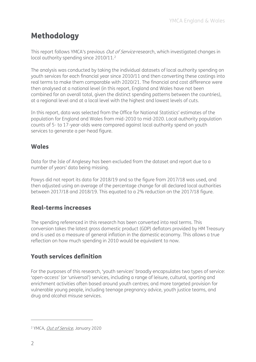# Methodology

This report follows YMCA's previous *Out of Service* research, which investigated changes in local authority spending since [2](#page-2-0)010/11.<sup>2</sup>

The analysis was conducted by taking the individual datasets of local authority spending on youth services for each financial year since 2010/11 and then converting these costings into real terms to make them comparable with 2020/21. The financial and cost difference were then analysed at a national level (in this report, England and Wales have not been combined for an overall total, given the distinct spending patterns between the countries), at a regional level and at a local level with the highest and lowest levels of cuts.

In this report, data was selected from the Office for National Statistics' estimates of the population for England and Wales from mid-2010 to mid-2020. Local authority population counts of 5- to 17-year-olds were compared against local authority spend on youth services to generate a per-head figure.

## Wales

Data for the Isle of Anglesey has been excluded from the dataset and report due to a number of years' data being missing.

Powys did not report its data for 2018/19 and so the figure from 2017/18 was used, and then adjusted using an average of the percentage change for all declared local authorities between 2017/18 and 2018/19. This equated to a 2% reduction on the 2017/18 figure.

## Real-terms increases

The spending referenced in this research has been converted into real terms. This conversion takes the latest gross domestic product (GDP) deflators provided by HM Treasury and is used as a measure of general inflation in the domestic economy. This allows a true reflection on how much spending in 2010 would be equivalent to now.

## Youth services definition

For the purposes of this research, 'youth services' broadly encapsulates two types of service: 'open-access' (or 'universal') services, including a range of leisure, cultural, sporting and enrichment activities often based around youth centres; and more targeted provision for vulnerable young people, including teenage pregnancy advice, youth justice teams, and drug and alcohol misuse services.

 $\overline{a}$ 

<span id="page-2-0"></span><sup>2</sup> YMCA, [Out of Service](https://www.ymca.org.uk/wp-content/uploads/2020/01/YMCA-Out-of-Service-report.pdf), January 2020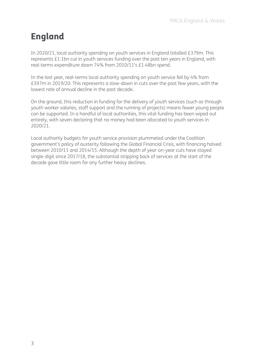# England

In 2020/21, local authority spending on youth services in England totalled £379m. This represents £1.1bn cut in youth services funding over the past ten years in England, with real-terms expenditure down 74% from 2010/11's £1.48bn spend.

In the last year, real-terms local authority spending on youth service fell by 4% from £397m in 2019/20. This represents a slow-down in cuts over the past few years, with the lowest rate of annual decline in the past decade.

On the ground, this reduction in funding for the delivery of youth services (such as through youth worker salaries, staff support and the running of projects) means fewer young people can be supported. In a handful of local authorities, this vital funding has been wiped out entirely, with seven declaring that no money had been allocated to youth services in 2020/21.

Local authority budgets for youth service provision plummeted under the Coalition government's policy of austerity following the Global Financial Crisis, with financing halved between 2010/11 and 2014/15. Although the depth of year-on-year cuts have stayed single-digit since 2017/18, the substantial stripping back of services at the start of the decade gave little room for any further heavy declines.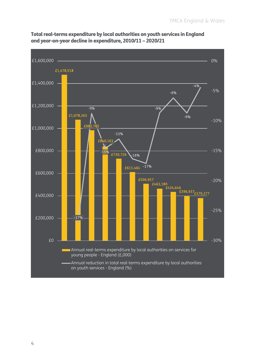

Total real-terms expenditure by local authorities on youth services in England and year-on-year decline in expenditure, 2010/11 – 2020/21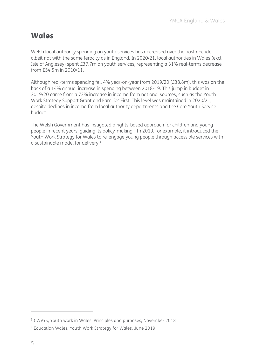## Wales

Welsh local authority spending on youth services has decreased over the past decade, albeit not with the same ferocity as in England. In 2020/21, local authorities in Wales (excl. Isle of Anglesey) spent £37.7m on youth services, representing a 31% real-terms decrease from £54.5m in 2010/11.

Although real-terms spending fell 4% year-on-year from 2019/20 (£38.8m), this was on the back of a 14% annual increase in spending between 2018-19. This jump in budget in 2019/20 came from a 72% increase in income from national sources, such as the Youth Work Strategy Support Grant and Families First. This level was maintained in 2020/21, despite declines in income from local authority departments and the Core Youth Service budget.

The Welsh Government has instigated a rights-based approach for children and young people in recent years, quiding its policy-making.<sup>[3](#page-5-0)</sup> In 2019, for example, it introduced the Youth Work Strategy for Wales to re-engage young people through accessible services with a sustainable model for delivery.[4](#page-5-1)

 $\overline{a}$ 

<span id="page-5-0"></span><sup>3</sup> CWVYS, [Youth work in Wales: Principles and purposes,](https://www.cwvys.org.uk/wp-content/uploads/2018/11/YOUTH-WORK-IN-WALES-PRINCIPLES-AND-PURPOSES.pdf) November 2018

<span id="page-5-1"></span><sup>4</sup> Education Wales, [Youth Work Strategy for Wales,](https://gov.wales/sites/default/files/publications/2019-06/youth-work-strategy-for-wales.pdf) June 2019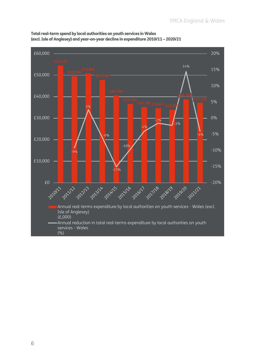

Total real-term spend by local authorities on youth services in Wales (excl. Isle of Anglesey) and year-on-year decline in expenditure 2010/11 – 2020/21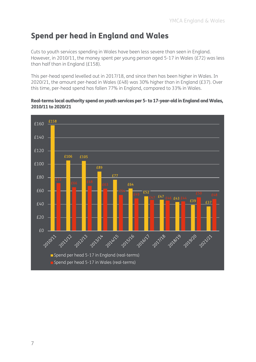## Spend per head in England and Wales

Cuts to youth services spending in Wales have been less severe than seen in England. However, in 2010/11, the money spent per young person aged 5-17 in Wales (£72) was less than half than in England (£158).

This per-head spend levelled out in 2017/18, and since then has been higher in Wales. In 2020/21, the amount per-head in Wales (£48) was 30% higher than in England (£37). Over this time, per-head spend has fallen 77% in England, compared to 33% in Wales.

#### Real-terms local authority spend on youth services per 5- to 17-year-old in England and Wales, 2010/11 to 2020/21

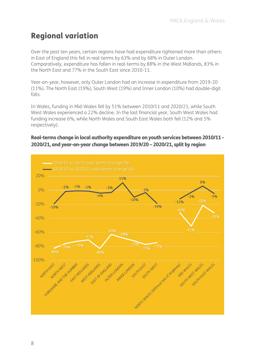## Regional variation

Over the past ten years, certain regions have had expenditure tightened more than others: in East of England this fell in real-terms by 63% and by 68% in Outer London. Comparatively, expenditure has fallen in real-terms by 88% in the West Midlands, 83% in the North East and 77% in the South East since 2010-11.

Year-on-year, however, only Outer London had an increase in expenditure from 2019-20 (11%). The North East (19%), South West (19%) and Inner London (10%) had double-digit falls.

In Wales, funding in Mid-Wales fell by 51% between 2010/11 and 2020/21, while South West Wales experienced a 22% decline. In the last financial year, South West Wales had funding increase 6%, while North Wales and South East Wales both fell (12% and 5% respectively).

#### Real-terms change in local authority expenditure on youth services between 2010/11 - 2020/21, and year-on-year change between 2019/20 – 2020/21, split by region

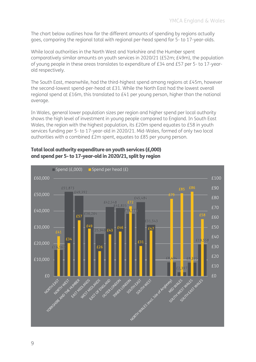The chart below outlines how far the different amounts of spending by regions actually goes, comparing the regional total with regional per-head spend for 5- to 17-year-olds.

While local authorities in the North West and Yorkshire and the Humber spent comparatively similar amounts on youth services in 2020/21 (£52m; £49m), the population of young people in these areas translates to expenditure of £34 and £57 per 5- to 17-yearold respectively.

The South East, meanwhile, had the third-highest spend among regions at £45m, however the second-lowest spend-per-head at £31. While the North East had the lowest overall regional spend at £16m, this translated to £41 per young person, higher than the national average.

In Wales, general lower population sizes per region and higher spend per local authority shows the high level of investment in young people compared to England. In South East Wales, the region with the highest population, its £20m spend equates to £58 in youth services funding per 5- to 17-year-old in 2020/21. Mid-Wales, formed of only two local authorities with a combined £2m spent, equates to £85 per young person.

#### Total local authority expenditure on youth services (£,000) and spend per 5- to 17-year-old in 2020/21, split by region

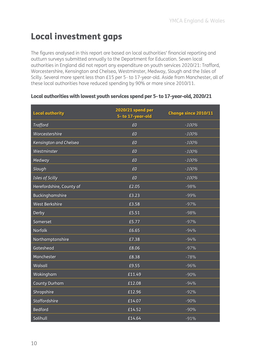# Local investment gaps

The figures analysed in this report are based on local authorities' financial reporting and outturn surveys submitted annually to the Department for Education. Seven local authorities in England did not report any expenditure on youth services 2020/21: Trafford, Worcestershire, Kensington and Chelsea, Westminster, Medway, Slough and the Isles of Scilly. Several more spent less than £15 per 5- to 17-year-old. Aside from Manchester, all of these local authorities have reduced spending by 90% or more since 2010/11.

| <b>Local authority</b>   | 2020/21 spend per<br>5-to 17-year-old | <b>Change since 2010/11</b> |
|--------------------------|---------------------------------------|-----------------------------|
| <b>Trafford</b>          | £0                                    | $-100%$                     |
| Worcestershire           | £0                                    | $-100%$                     |
| Kensington and Chelsea   | £0                                    | $-100%$                     |
| Westminster              | £0                                    | $-100%$                     |
| Medway                   | £0                                    | $-100%$                     |
| Slough                   | £0                                    | $-100%$                     |
| <b>Isles of Scilly</b>   | £0                                    | $-100%$                     |
| Herefordshire, County of | £2.05                                 | $-98%$                      |
| Buckinghamshire          | £3.23                                 | $-99%$                      |
| <b>West Berkshire</b>    | £3.58                                 | $-97%$                      |
| Derby                    | £5.51                                 | $-98%$                      |
| Somerset                 | £5.77                                 | $-97%$                      |
| Norfolk                  | £6.65                                 | $-94%$                      |
| Northamptonshire         | £7.38                                 | $-94%$                      |
| Gateshead                | £8.06                                 | $-97%$                      |
| Manchester               | £8.38                                 | $-78%$                      |
| Walsall                  | £9.55                                 | $-96%$                      |
| Wokingham                | £11.49                                | $-90%$                      |
| <b>County Durham</b>     | £12.08                                | $-94%$                      |
| Shropshire               | £12.96                                | $-92%$                      |
| Staffordshire            | £14.07                                | $-90%$                      |
| <b>Bedford</b>           | £14.52                                | $-90%$                      |
| Solihull                 | £14.64                                | $-91%$                      |

#### Local authorities with lowest youth services spend per 5- to 17-year-old, 2020/21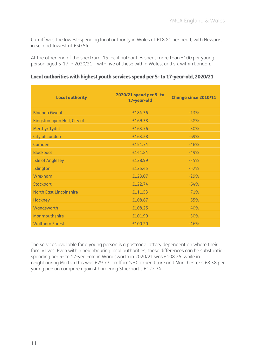Cardiff was the lowest-spending local authority in Wales at £18.81 per head, with Newport in second-lowest at £50.54.

At the other end of the spectrum, 15 local authorities spent more than £100 per young person aged 5-17 in 2020/21 – with five of these within Wales, and six within London.

| Local authorities with highest youth services spend per 5- to 17-year-old, 2020/21 |  |  |  |
|------------------------------------------------------------------------------------|--|--|--|
|------------------------------------------------------------------------------------|--|--|--|

| <b>Local authority</b>         | 2020/21 spend per 5-to<br>17-year-old | <b>Change since 2010/11</b> |
|--------------------------------|---------------------------------------|-----------------------------|
| <b>Blaenau Gwent</b>           | £184.36                               | $-13%$                      |
| Kingston upon Hull, City of    | £169.38                               | $-58%$                      |
| <b>Merthyr Tydfil</b>          | £163.76                               | $-30%$                      |
| <b>City of London</b>          | £163.28                               | $-69%$                      |
| Camden                         | £151.74                               | $-46%$                      |
| <b>Blackpool</b>               | £141.84                               | $-49%$                      |
| <b>Isle of Anglesey</b>        | £128.99                               | $-35%$                      |
| Islington                      | £125.45                               | $-52%$                      |
| Wrexham                        | £123.07                               | $-29%$                      |
| Stockport                      | £122.74                               | $-64%$                      |
| <b>North East Lincolnshire</b> | £111.53                               | $-71%$                      |
| <b>Hackney</b>                 | £108.67                               | $-55%$                      |
| Wandsworth                     | £108.25                               | $-40%$                      |
| Monmouthshire                  | £101.99                               | $-30%$                      |
| <b>Waltham Forest</b>          | £100.20                               | $-46%$                      |

The services available for a young person is a postcode lottery dependent on where their family lives. Even within neighbouring local authorities, these differences can be substantial: spending per 5- to 17-year-old in Wandsworth in 2020/21 was £108.25, while in neighbouring Merton this was £29.77. Trafford's £0 expenditure and Manchester's £8.38 per young person compare against bordering Stockport's £122.74.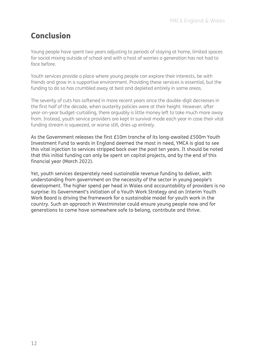## Conclusion

Young people have spent two years adjusting to periods of staying at home, limited spaces for social mixing outside of school and with a host of worries a generation has not had to face before.

Youth services provide a place where young people can explore their interests, be with friends and grow in a supportive environment. Providing these services is essential, but the funding to do so has crumbled away at best and depleted entirely in some areas.

The severity of cuts has softened in more recent years since the double-digit decreases in the first half of the decade, when austerity policies were at their height. However, after year-on-year budget-curtailing, there arguably is little money left to take much more away from. Instead, youth service providers are kept in survival mode each year in case their vital funding stream is squeezed, or worse still, dries up entirely.

As the Government releases the first £10m tranche of its long-awaited £500m Youth Investment Fund to wards in England deemed the most in need, YMCA is glad to see this vital injection to services stripped back over the past ten years. It should be noted that this initial funding can only be spent on capital projects, and by the end of this financial year (March 2022).

Yet, youth services desperately need sustainable revenue funding to deliver, with understanding from government on the necessity of the sector in young people's development. The higher spend per head in Wales and accountability of providers is no surprise: its Government's initiation of a Youth Work Strategy and an Interim Youth Work Board is driving the framework for a sustainable model for youth work in the country. Such an approach in Westminster could ensure young people now and for generations to come have somewhere safe to belong, contribute and thrive.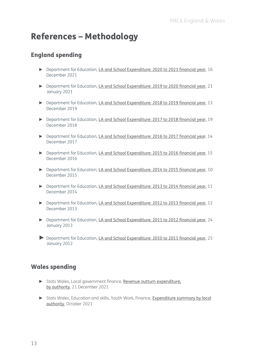# References – Methodology

### England spending

- ► Department for Education, [LA and School Expenditure: 2020 to 2021 financial year](https://www.gov.uk/government/statistics/la-and-school-expenditure-2020-to-2021-financial-year), 16 December 2021
- ► Department for Education, [LA and School Expenditure: 2019 to 2020 financial year](https://www.gov.uk/government/statistics/la-and-school-expenditure-2019-to-2020-financial-year), 21 January 2021
- ► Department for Education, [LA and School Expenditure: 2018 to 2019](https://www.gov.uk/government/statistics/la-and-school-expenditure-2018-to-2019-financial-year) financial year, 13 December 2019
- ► Department for Education, [LA and School Expenditure: 2017 to 2018](https://www.gov.uk/government/statistics/la-and-school-expenditure-2017-to-2018-financial-year) financial year, 19 December 2018
- ► Department for Education, [LA and School Expenditure: 2016 to 2017](https://www.gov.uk/government/statistics/la-and-school-expenditure-2016-to-2017-financial-year) financial year, 14 December 2017
- ► Department for Education, [LA and School Expenditure: 2015 to 2016](https://www.gov.uk/government/statistics/la-and-school-expenditure-2015-to-2016-financial-year) financial year, 15 December 2016
- ► Department for Education, [LA and School Expenditure: 2014 to 2015](https://www.gov.uk/government/statistics/schools-education-and-childrens-services-spending-2014-to-2015) financial year, 10 December 2015
- ► Department for Education, [LA and School Expenditure: 2013 to 2014](https://www.gov.uk/government/statistics/schools-education-and-childrens-services-spending-2013-to-2014) financial year, 11 December 2014
- ► Department for Education, [LA and School Expenditure: 2012 to 2013](https://www.gov.uk/government/statistics/la-and-school-expenditure-financial-year-2012-to-2013) financial year, 12 December 2013
- ► Department for Education, [LA and School Expenditure: 2011 to 2012](https://www.gov.uk/government/statistics/expenditure-on-education-children-and-young-peoples-services-academic-year-2011-to-2012) financial year, 24 January 2013
- ► Department for Education, [LA and School Expenditure: 2010 to 2011](https://www.gov.uk/government/statistics/local-authority-and-school-expenditure-on-education-childrens-services-and-social-care-2010-to-2011) financial year, 25 January 2012

#### Wales spending

- ► Stats Wales, Local government finance, [Revenue outturn expenditure,](https://statswales.gov.wales/Catalogue/Local-Government/Finance/Revenue/Outturn/revenueoutturnexpenditure-by-authority) [by authority](https://statswales.gov.wales/Catalogue/Local-Government/Finance/Revenue/Outturn/revenueoutturnexpenditure-by-authority), 21 December 2021
- ► Stats Wales, Education and skills, Youth Work, Finance, Expenditure summary by local [authority](https://statswales.gov.wales/Catalogue/Local-Government/Finance/Revenue/Outturn/revenueoutturnexpenditure-by-authority), October 2021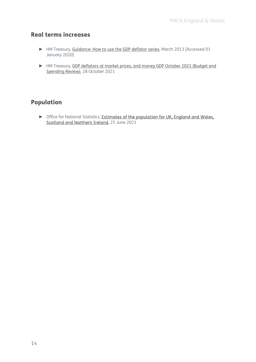## Real terms increases

- ► HM Treasury, [Guidance: How to use the GDP deflator series](https://assets.publishing.service.gov.uk/government/uploads/system/uploads/attachment_data/file/205904/GDP_Deflators_User_Guide.pdf), March 2013 [Accessed 01 January 2020]
- ► HM Treasury, [GDP deflators at market prices, and money GDP October 2021 \(Budget and](https://www.gov.uk/government/statistics/gdp-deflators-at-market-prices-and-money-gdp-october-2021-budget-and-spending-review)  [Spending Review\)](https://www.gov.uk/government/statistics/gdp-deflators-at-market-prices-and-money-gdp-october-2021-budget-and-spending-review), 28 October 2021

## Population

► Office for National Statistics, [Estimates of the population for UK, England and Wales,](https://www.ons.gov.uk/peoplepopulationandcommunity/populationandmigration/populationestimates/datasets/populationestimatesforukenglandandwalesscotlandandnorthernireland)  [Scotland and Northern Ireland,](https://www.ons.gov.uk/peoplepopulationandcommunity/populationandmigration/populationestimates/datasets/populationestimatesforukenglandandwalesscotlandandnorthernireland) 25 June 2021